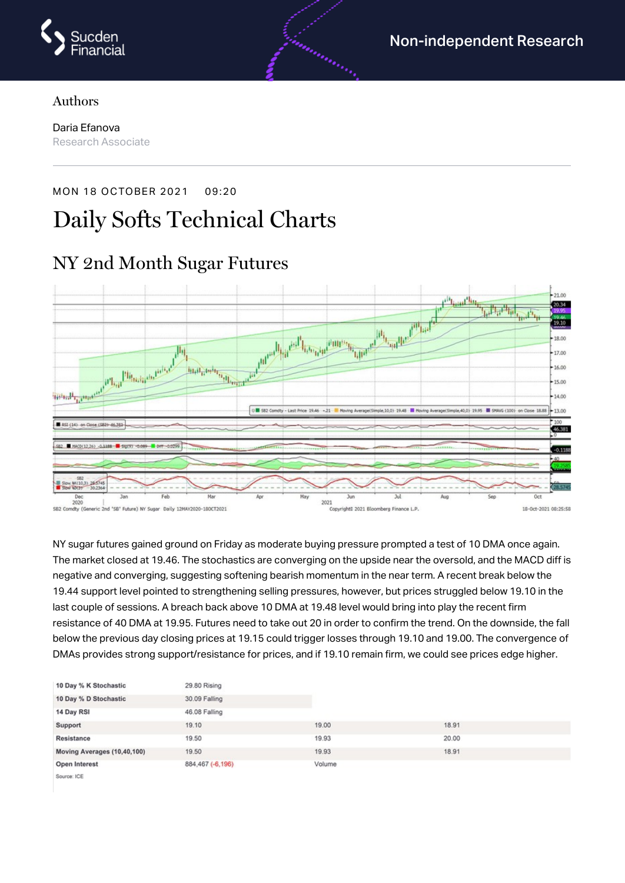

#### Authors

Daria Efanova Research Associate

# MON 18 OCTOBER 2021 09:20 Daily Softs Technical Charts



NY sugar futures gained ground on Friday as moderate buying pressure prompted a test of 10 DMA once again. The market closed at 19.46. The stochastics are converging on the upside near the oversold, and the MACD diff is negative and converging, suggesting softening bearish momentum in the near term. A recent break below the 19.44 support level pointed to strengthening selling pressures, however, but prices struggled below 19.10 in the last couple of sessions. A breach back above 10 DMA at 19.48 level would bring into play the recent firm resistance of 40 DMA at 19.95. Futures need to take out 20 in order to confirm the trend. On the downside, the fall below the previous day closing prices at 19.15 could trigger losses through 19.10 and 19.00. The convergence of DMAs provides strong support/resistance for prices, and if 19.10 remain firm, we could see prices edge higher.

| 10 Day % K Stochastic       | 29.80 Rising     |        |       |  |
|-----------------------------|------------------|--------|-------|--|
| 10 Day % D Stochastic       | 30.09 Falling    |        |       |  |
| 14 Day RSI                  | 46.08 Falling    |        |       |  |
| Support                     | 19.10            | 19.00  | 18.91 |  |
| Resistance                  | 19.50            | 19.93  | 20.00 |  |
| Moving Averages (10,40,100) | 19.50            | 19.93  | 18.91 |  |
| Open Interest               | 884,467 (-6,196) | Volume |       |  |
| Corporation ISSE            |                  |        |       |  |

#### NY 2nd Month Sugar Futures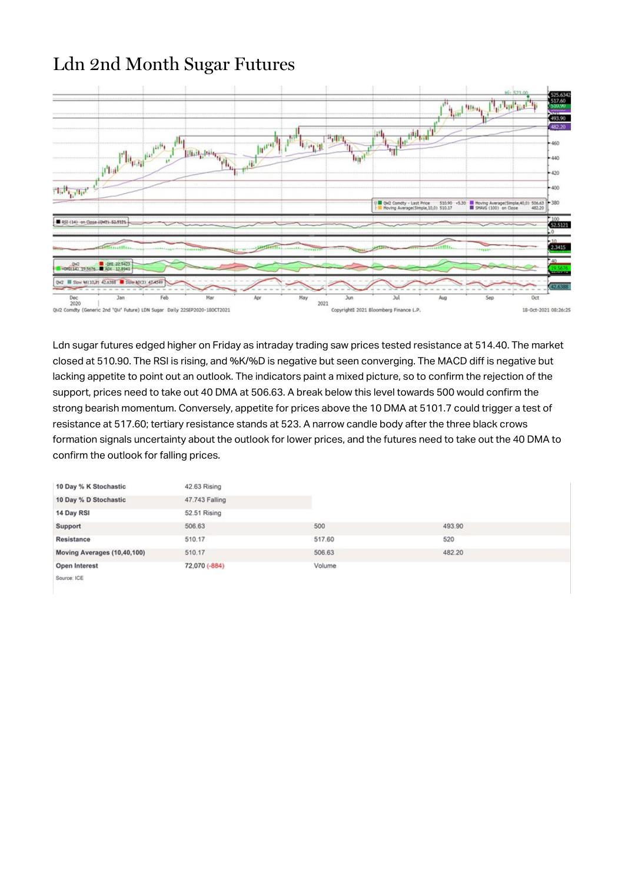### Ldn 2nd Month Sugar Futures



Ldn sugar futures edged higher on Friday as intraday trading saw prices tested resistance at 514.40. The market closed at 510.90. The RSI is rising, and %K/%D is negative but seen converging. The MACD diff is negative but lacking appetite to point out an outlook. The indicators paint a mixed picture, so to confirm the rejection of the support, prices need to take out 40 DMA at 506.63. A break below this level towards 500 would confirm the strong bearish momentum. Conversely, appetite for prices above the 10 DMA at 5101.7 could trigger a test of resistance at 517.60; tertiary resistance stands at 523. A narrow candle body after the three black crows formation signals uncertainty about the outlook for lower prices, and the futures need to take out the 40 DMA to confirm the outlook for falling prices.

| 10 Day % K Stochastic       | 42.63 Rising   |        |        |  |
|-----------------------------|----------------|--------|--------|--|
| 10 Day % D Stochastic       | 47.743 Falling |        |        |  |
| 14 Day RSI                  | 52.51 Rising   |        |        |  |
| Support                     | 506.63         | 500    | 493.90 |  |
| Resistance                  | 510.17         | 517.60 | 520    |  |
| Moving Averages (10,40,100) | 510.17         | 506.63 | 482.20 |  |
| Open Interest               | 72,070 (-884)  | Volume |        |  |
| Source: ICE                 |                |        |        |  |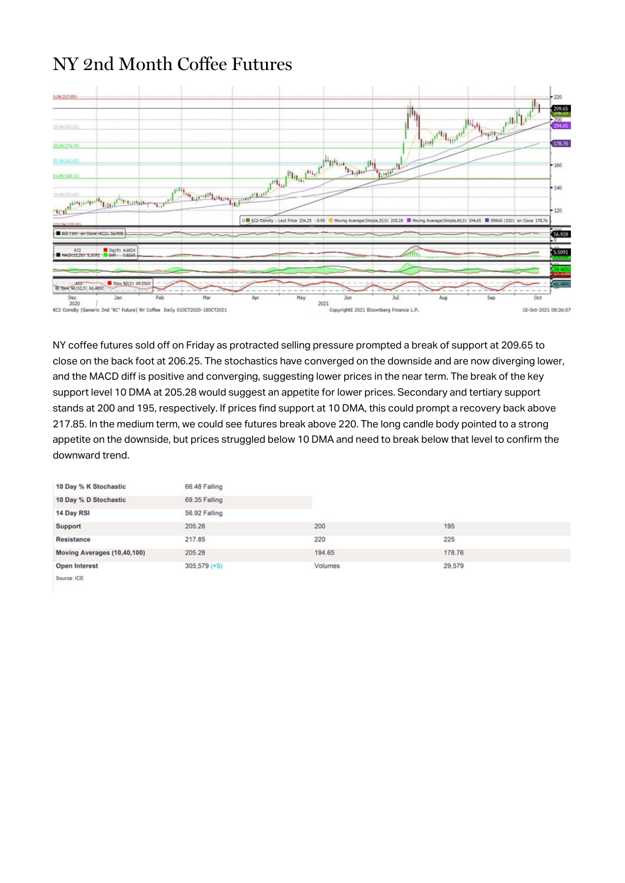## NY 2nd Month Coffee Futures



NY coffee futures sold off on Friday as protracted selling pressure prompted a break of support at 209.65 to close on the back foot at 206.25. The stochastics have converged on the downside and are now diverging lower, and the MACD diff is positive and converging, suggesting lower prices in the near term. The break of the key support level 10 DMA at 205.28 would suggest an appetite for lower prices. Secondary and tertiary support stands at 200 and 195, respectively. If prices find support at 10 DMA, this could prompt a recovery back above 217.85. In the medium term, we could see futures break above 220. The long candle body pointed to a strong appetite on the downside, but prices struggled below 10 DMA and need to break below that level to confirm the downward trend.

| 10 Day % K Stochastic       | 66.48 Falling  |         |        |  |
|-----------------------------|----------------|---------|--------|--|
| 10 Day % D Stochastic       | 69.35 Falling  |         |        |  |
| 14 Day RSI                  | 56.92 Falling  |         |        |  |
| Support                     | 205.28         | 200     | 195    |  |
| Resistance                  | 217.85         | 220     | 225    |  |
| Moving Averages (10,40,100) | 205.28         | 194.65  | 178.76 |  |
| Open Interest               | $305,579 (+5)$ | Volumes | 29,579 |  |
| Source: ICE                 |                |         |        |  |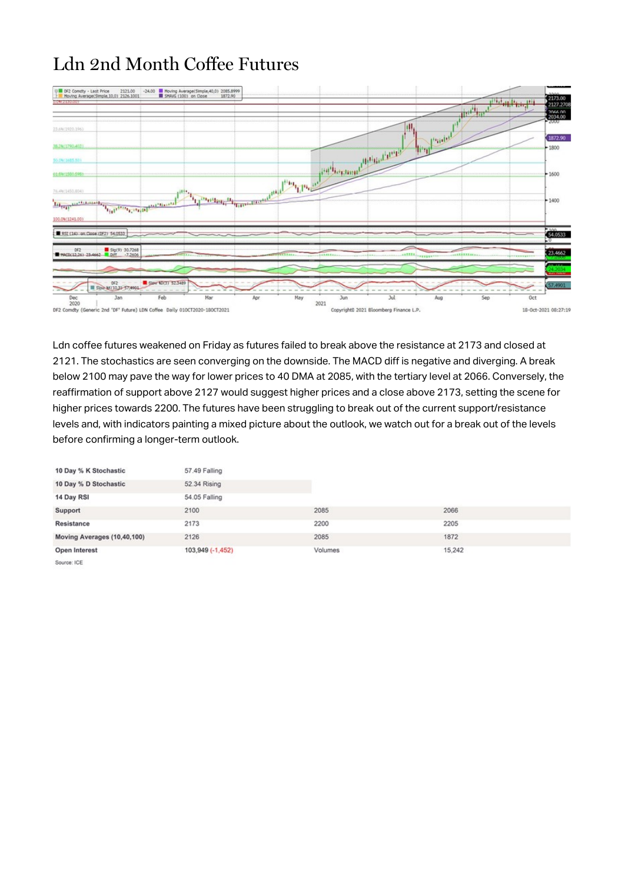# Ldn 2nd Month Coffee Futures



Ldn coffee futures weakened on Friday as futures failed to break above the resistance at 2173 and closed at 2121. The stochastics are seen converging on the downside. The MACD diff is negative and diverging. A break below 2100 may pave the way for lower prices to 40 DMA at 2085, with the tertiary level at 2066. Conversely, the reaffirmation of support above 2127 would suggest higher prices and a close above 2173, setting the scene for higher prices towards 2200. The futures have been struggling to break out of the current support/resistance levels and, with indicators painting a mixed picture about the outlook, we watch out for a break out of the levels before confirming a longer-term outlook.

| 10 Day % K Stochastic       | 57.49 Falling    |         |        |  |
|-----------------------------|------------------|---------|--------|--|
| 10 Day % D Stochastic       | 52.34 Rising     |         |        |  |
| 14 Day RSI                  | 54.05 Falling    |         |        |  |
| Support                     | 2100             | 2085    | 2066   |  |
| Resistance                  | 2173             | 2200    | 2205   |  |
| Moving Averages (10,40,100) | 2126             | 2085    | 1872   |  |
| Open Interest               | 103,949 (-1,452) | Volumes | 15.242 |  |
| Source: ICE                 |                  |         |        |  |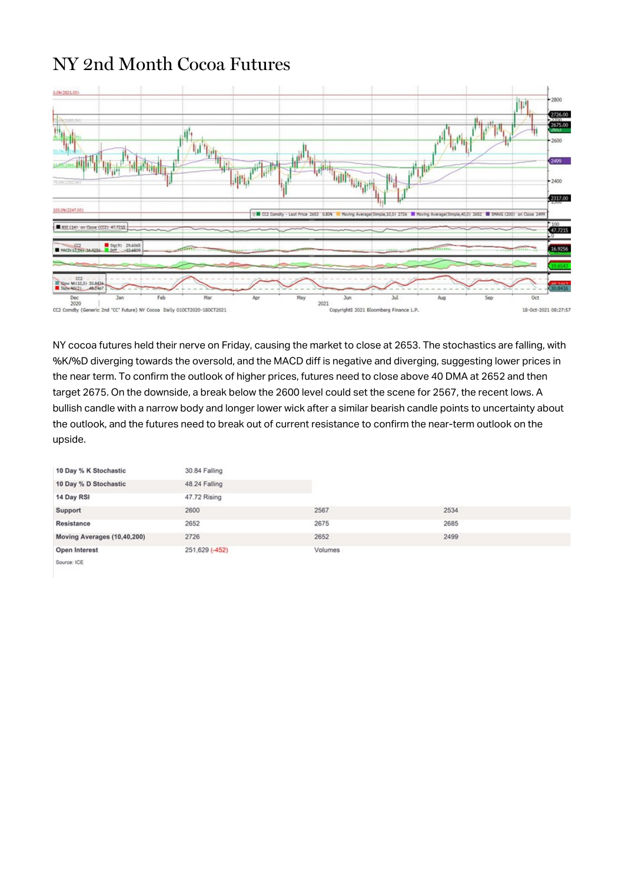#### NY 2nd Month Cocoa Futures



NY cocoa futures held their nerve on Friday, causing the market to close at 2653. The stochastics are falling, with %K/%D diverging towards the oversold, and the MACD diff is negative and diverging, suggesting lower prices in the near term. To confirm the outlook of higher prices, futures need to close above 40 DMA at 2652 and then target 2675. On the downside, a break below the 2600 level could set the scene for 2567, the recent lows. A bullish candle with a narrow body and longer lower wick after a similar bearish candle points to uncertainty about the outlook, and the futures need to break out of current resistance to confirm the near-term outlook on the upside.

| 10 Day % K Stochastic       | 30.84 Falling  |         |      |  |
|-----------------------------|----------------|---------|------|--|
| 10 Day % D Stochastic       | 48.24 Falling  |         |      |  |
| 14 Day RSI                  | 47.72 Rising   |         |      |  |
| Support                     | 2600           | 2567    | 2534 |  |
| Resistance                  | 2652           | 2675    | 2685 |  |
| Moving Averages (10,40,200) | 2726           | 2652    | 2499 |  |
| Open Interest               | 251,629 (-452) | Volumes |      |  |
| Source: ICE                 |                |         |      |  |